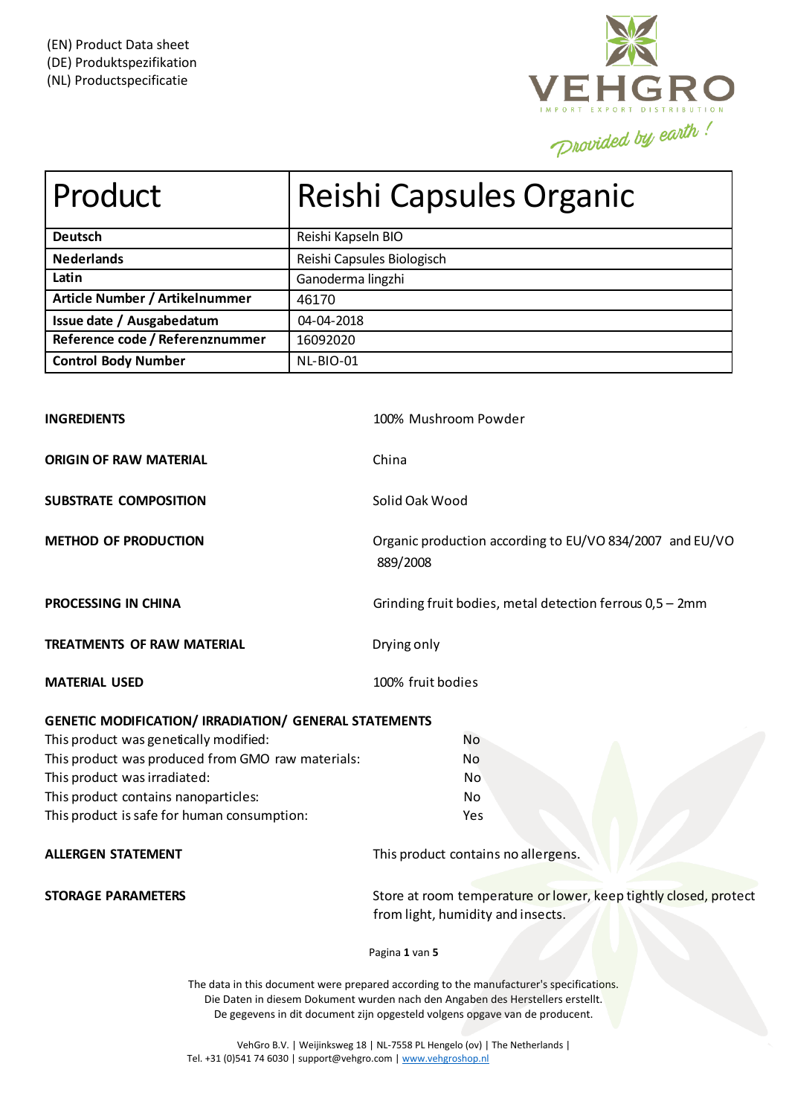

| Product                                                      | Reishi Capsules Organic |                                                                                                       |  |
|--------------------------------------------------------------|-------------------------|-------------------------------------------------------------------------------------------------------|--|
| <b>Deutsch</b>                                               | Reishi Kapseln BIO      |                                                                                                       |  |
| <b>Nederlands</b>                                            |                         | Reishi Capsules Biologisch                                                                            |  |
| Latin                                                        | Ganoderma lingzhi       |                                                                                                       |  |
| Article Number / Artikelnummer                               | 46170                   |                                                                                                       |  |
| Issue date / Ausgabedatum                                    | 04-04-2018              |                                                                                                       |  |
| Reference code / Referenznummer                              | 16092020                |                                                                                                       |  |
| <b>Control Body Number</b>                                   | NL-BIO-01               |                                                                                                       |  |
| <b>INGREDIENTS</b>                                           |                         | 100% Mushroom Powder                                                                                  |  |
| <b>ORIGIN OF RAW MATERIAL</b>                                |                         | China                                                                                                 |  |
| <b>SUBSTRATE COMPOSITION</b>                                 |                         | Solid Oak Wood                                                                                        |  |
| <b>METHOD OF PRODUCTION</b>                                  |                         | Organic production according to EU/VO 834/2007 and EU/VO<br>889/2008                                  |  |
| <b>PROCESSING IN CHINA</b>                                   |                         | Grinding fruit bodies, metal detection ferrous 0,5 - 2mm                                              |  |
| <b>TREATMENTS OF RAW MATERIAL</b>                            |                         | Drying only                                                                                           |  |
| <b>MATERIAL USED</b>                                         |                         | 100% fruit bodies                                                                                     |  |
| <b>GENETIC MODIFICATION/ IRRADIATION/ GENERAL STATEMENTS</b> |                         |                                                                                                       |  |
| This product was genetically modified:                       |                         | No                                                                                                    |  |
| This product was produced from GMO raw materials:            |                         | No                                                                                                    |  |
| This product was irradiated:                                 |                         | No                                                                                                    |  |
| This product contains nanoparticles:                         |                         | No                                                                                                    |  |
| This product is safe for human consumption:                  |                         | Yes                                                                                                   |  |
| <b>ALLERGEN STATEMENT</b>                                    |                         | This product contains no allergens.                                                                   |  |
| <b>STORAGE PARAMETERS</b>                                    |                         | Store at room temperature or lower, keep tightly closed, protect<br>from light, humidity and insects. |  |
|                                                              |                         | Pagina 1 van 5                                                                                        |  |
|                                                              |                         | The data in this document were prepared according to the manufacturer's specifications.               |  |

Die Daten in diesem Dokument wurden nach den Angaben des Herstellers erstellt. De gegevens in dit document zijn opgesteld volgens opgave van de producent.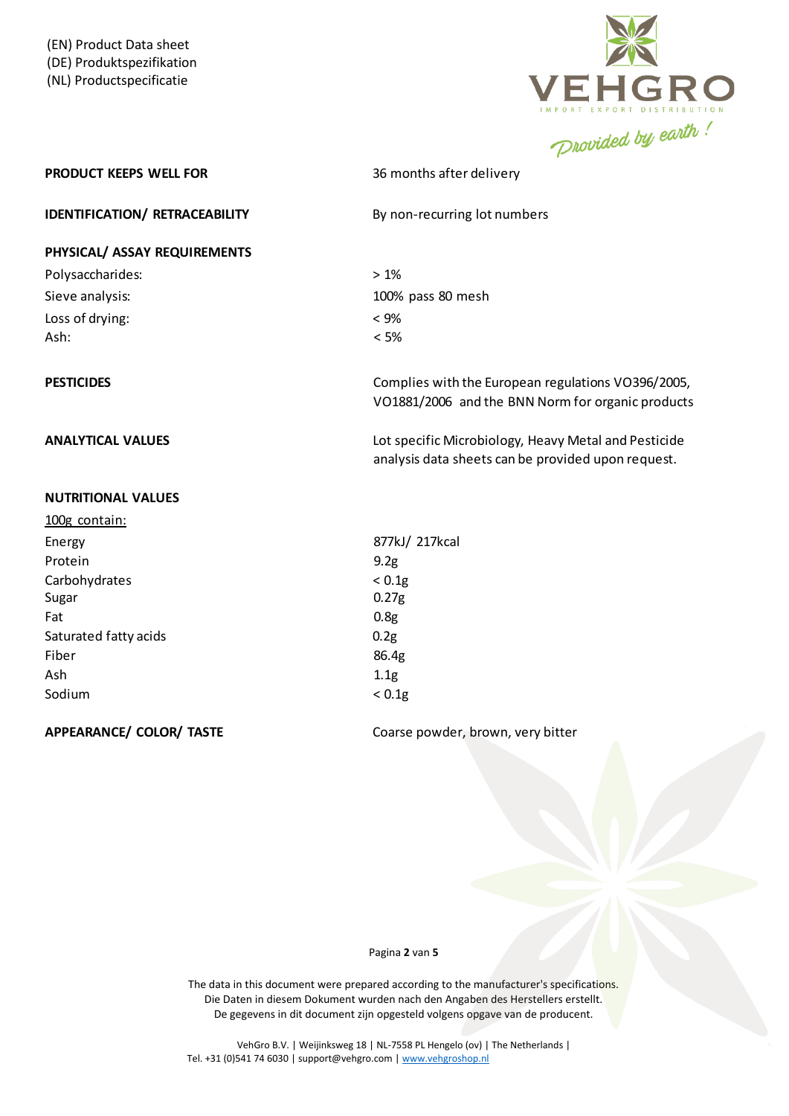

## **PRODUCT KEEPS WELL FOR** 36 months after delivery

**IDENTIFICATION/** RETRACEABILITY By non-recurring lot numbers

## **PHYSICAL/ ASSAY REQUIREMENTS**

| Polysaccharides: | $>1\%$            |
|------------------|-------------------|
| Sieve analysis:  | 100% pass 80 mesh |
| Loss of drying:  | $< 9\%$           |
| Ash:             | $< 5\%$           |

## **NUTRITIONAL VALUES**

| 100g contain:         |                   |
|-----------------------|-------------------|
| Energy                | 877kJ/ 217kcal    |
| Protein               | 9.2g              |
| Carbohydrates         | < 0.1g            |
| Sugar                 | 0.27 <sub>g</sub> |
| Fat                   | 0.8 <sub>g</sub>  |
| Saturated fatty acids | 0.2g              |
| Fiber                 | 86.4g             |
| Ash                   | 1.1g              |
| Sodium                | < 0.1g            |
|                       |                   |

**PESTICIDES PESTICIDES Complies with the European regulations VO396/2005,** VO1881/2006 and the BNN Norm for organic products

**ANALYTICAL VALUES** Lot specific Microbiology, Heavy Metal and Pesticide analysis data sheets can be provided upon request.

**APPEARANCE/ COLOR/ TASTE** Coarse powder, brown, very bitter

### Pagina **2** van **5**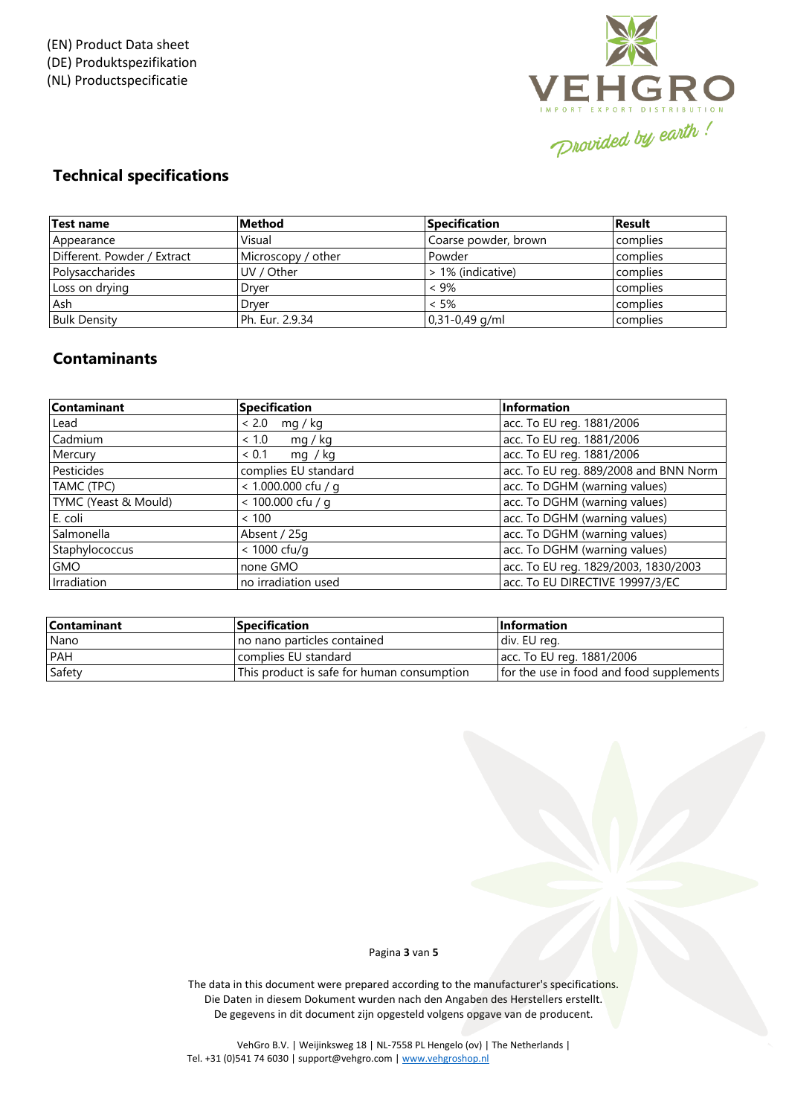

# **Technical specifications**

| Test name                   | Method             | <b>Specification</b> | <b>Result</b> |
|-----------------------------|--------------------|----------------------|---------------|
| Appearance                  | Visual             | Coarse powder, brown | complies      |
| Different. Powder / Extract | Microscopy / other | Powder               | complies      |
| Polysaccharides             | UV / Other         | > 1% (indicative)    | complies      |
| Loss on drying              | Drver              | $< 9\%$              | complies      |
| Ash                         | Drver              | $< 5\%$              | complies      |
| <b>Bulk Density</b>         | l Ph. Eur. 2.9.34  | $0,31-0,49$ g/ml     | complies      |

# **Contaminants**

| Contaminant          | Specification         | Information                           |
|----------------------|-----------------------|---------------------------------------|
| Lead                 | < 2.0<br>mq / kq      | acc. To EU reg. 1881/2006             |
| Cadmium              | ~1.0<br>mq / kq       | acc. To EU reg. 1881/2006             |
| Mercury              | ~< 0.1<br>mq / kq     | acc. To EU reg. 1881/2006             |
| Pesticides           | complies EU standard  | acc. To EU reg. 889/2008 and BNN Norm |
| TAMC (TPC)           | $< 1.000.000$ cfu / q | acc. To DGHM (warning values)         |
| TYMC (Yeast & Mould) | $< 100.000$ cfu / q   | acc. To DGHM (warning values)         |
| E. coli              | < 100                 | acc. To DGHM (warning values)         |
| Salmonella           | Absent / 25g          | acc. To DGHM (warning values)         |
| Staphylococcus       | < 1000 cfu/g          | acc. To DGHM (warning values)         |
| <b>GMO</b>           | none GMO              | acc. To EU reg. 1829/2003, 1830/2003  |
| Irradiation          | no irradiation used   | acc. To EU DIRECTIVE 19997/3/EC       |

| <b>Contaminant</b> | <b>Specification</b>                       | <b>Information</b>                       |
|--------------------|--------------------------------------------|------------------------------------------|
| Nano               | no nano particles contained                | div. EU reg.                             |
| PAH                | complies EU standard                       | acc. To EU reg. 1881/2006                |
| Safety             | This product is safe for human consumption | for the use in food and food supplements |

## Pagina **3** van **5**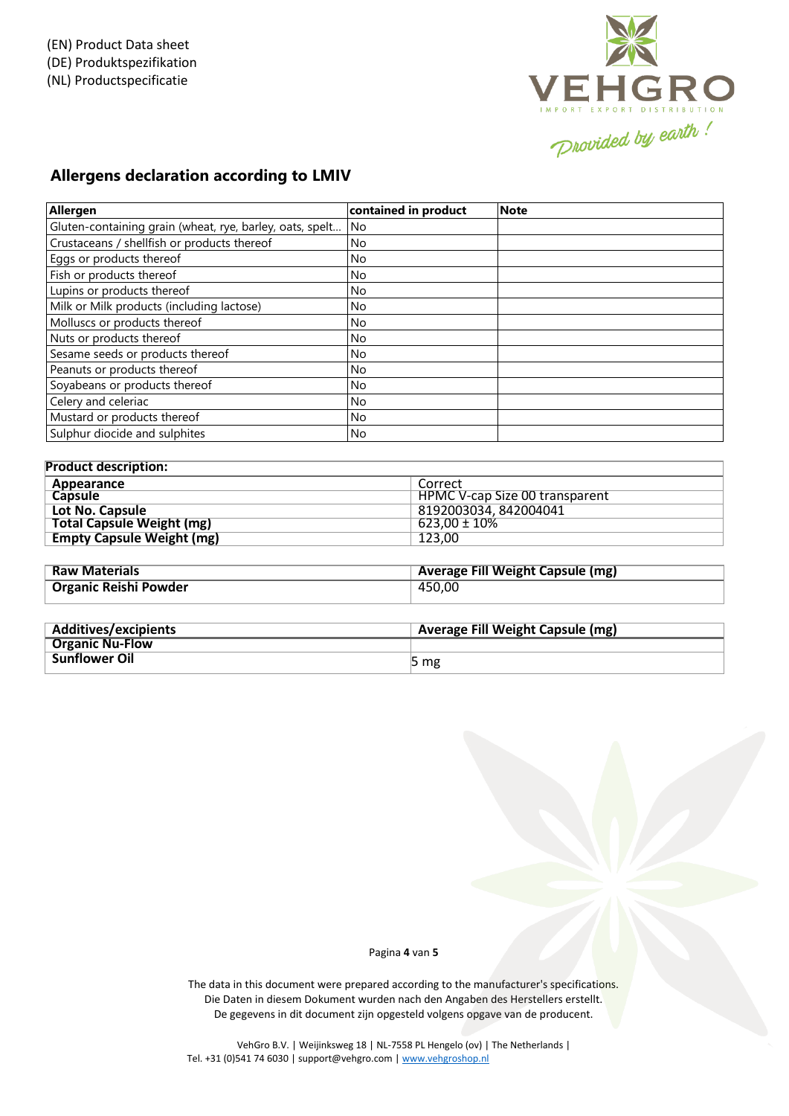

# **Allergens declaration according to LMIV**

| Allergen                                                 | contained in product | <b>Note</b> |
|----------------------------------------------------------|----------------------|-------------|
| Gluten-containing grain (wheat, rye, barley, oats, spelt | <b>No</b>            |             |
| Crustaceans / shellfish or products thereof              | No.                  |             |
| Eggs or products thereof                                 | No.                  |             |
| Fish or products thereof                                 | No                   |             |
| Lupins or products thereof                               | No.                  |             |
| Milk or Milk products (including lactose)                | No.                  |             |
| Molluscs or products thereof                             | No.                  |             |
| Nuts or products thereof                                 | No.                  |             |
| Sesame seeds or products thereof                         | No.                  |             |
| Peanuts or products thereof                              | <b>No</b>            |             |
| Soyabeans or products thereof                            | No.                  |             |
| Celery and celeriac                                      | <b>No</b>            |             |
| Mustard or products thereof                              | No.                  |             |
| Sulphur diocide and sulphites                            | No.                  |             |

| <b>Product description:</b>      |                                |  |
|----------------------------------|--------------------------------|--|
| Appearance                       | Correct                        |  |
| <b>Capsule</b>                   | HPMC V-cap Size 00 transparent |  |
| Lot No. Capsule                  | 8192003034, 842004041          |  |
| <b>Total Capsule Weight (mg)</b> | $623,00 \pm 10\%$              |  |
| <b>Empty Capsule Weight (mg)</b> | 123.00                         |  |
|                                  |                                |  |

| <b>Raw Materials</b>         | Average Fill Weight Capsule (mg) |
|------------------------------|----------------------------------|
| <b>Organic Reishi Powder</b> | 450.00                           |

| <b>Additives/excipients</b> | <b>Average Fill Weight Capsule (mg)</b> |
|-----------------------------|-----------------------------------------|
| <b>Organic Nu-Flow</b>      |                                         |
| <b>Sunflower Oil</b>        | 5 <sub>mg</sub>                         |

### Pagina **4** van **5**